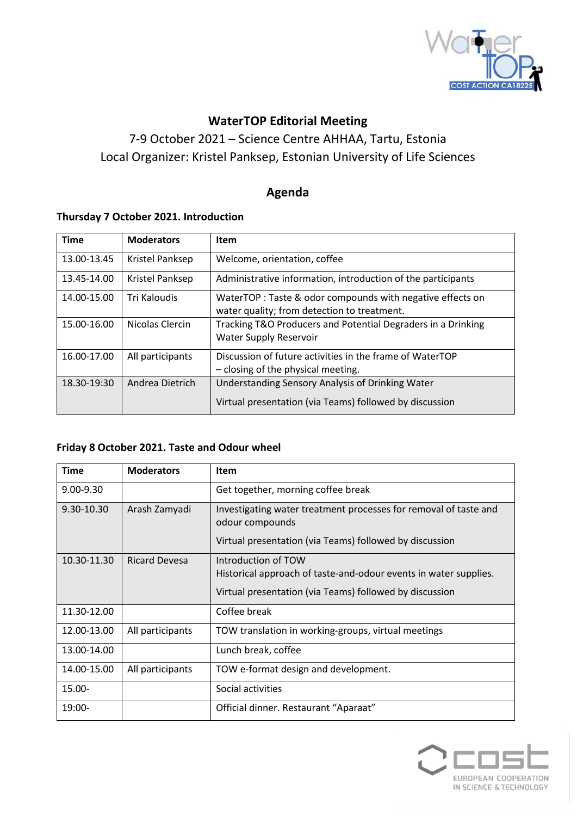

# **WaterTOP Editorial Meeting**

7-9 October 2021 – Science Centre AHHAA, Tartu, Estonia Local Organizer: Kristel Panksep, Estonian University of Life Sciences

## **Agenda**

### **Thursday 7 October 2021. Introduction**

| <b>Time</b> | <b>Moderators</b> | <b>Item</b>                                                                                                 |
|-------------|-------------------|-------------------------------------------------------------------------------------------------------------|
| 13.00-13.45 | Kristel Panksep   | Welcome, orientation, coffee                                                                                |
| 13.45-14.00 | Kristel Panksep   | Administrative information, introduction of the participants                                                |
| 14.00-15.00 | Tri Kaloudis      | WaterTOP: Taste & odor compounds with negative effects on<br>water quality; from detection to treatment.    |
| 15.00-16.00 | Nicolas Clercin   | Tracking T&O Producers and Potential Degraders in a Drinking<br><b>Water Supply Reservoir</b>               |
| 16.00-17.00 | All participants  | Discussion of future activities in the frame of WaterTOP<br>- closing of the physical meeting.              |
| 18.30-19:30 | Andrea Dietrich   | Understanding Sensory Analysis of Drinking Water<br>Virtual presentation (via Teams) followed by discussion |

#### **Friday 8 October 2021. Taste and Odour wheel**

| <b>Time</b>   | <b>Moderators</b>    | Item                                                                                                                                               |
|---------------|----------------------|----------------------------------------------------------------------------------------------------------------------------------------------------|
| $9.00 - 9.30$ |                      | Get together, morning coffee break                                                                                                                 |
| 9.30-10.30    | Arash Zamyadi        | Investigating water treatment processes for removal of taste and<br>odour compounds<br>Virtual presentation (via Teams) followed by discussion     |
| 10.30-11.30   | <b>Ricard Devesa</b> | Introduction of TOW<br>Historical approach of taste-and-odour events in water supplies.<br>Virtual presentation (via Teams) followed by discussion |
| 11.30-12.00   |                      | Coffee break                                                                                                                                       |
| 12.00-13.00   | All participants     | TOW translation in working-groups, virtual meetings                                                                                                |
| 13.00-14.00   |                      | Lunch break, coffee                                                                                                                                |
| 14.00-15.00   | All participants     | TOW e-format design and development.                                                                                                               |
| $15.00 -$     |                      | Social activities                                                                                                                                  |
| 19:00-        |                      | Official dinner. Restaurant "Aparaat"                                                                                                              |